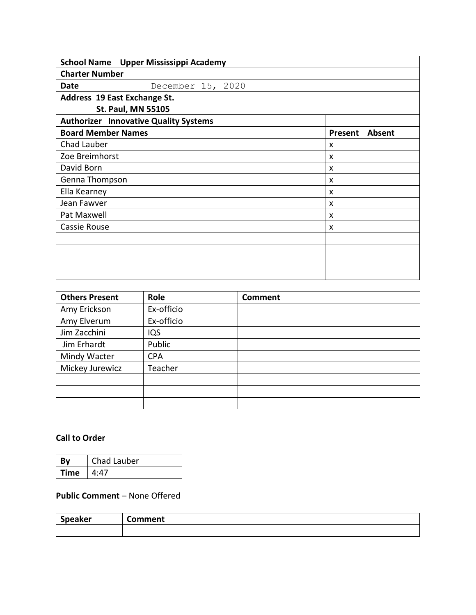| School Name Upper Mississippi Academy        |         |        |  |  |
|----------------------------------------------|---------|--------|--|--|
| <b>Charter Number</b>                        |         |        |  |  |
| December 15, 2020<br>Date                    |         |        |  |  |
| Address 19 East Exchange St.                 |         |        |  |  |
| <b>St. Paul, MN 55105</b>                    |         |        |  |  |
| <b>Authorizer Innovative Quality Systems</b> |         |        |  |  |
| <b>Board Member Names</b>                    | Present | Absent |  |  |
| Chad Lauber                                  | X       |        |  |  |
| Zoe Breimhorst                               | X       |        |  |  |
| David Born                                   | X       |        |  |  |
| Genna Thompson                               | x       |        |  |  |
| Ella Kearney                                 | X       |        |  |  |
| Jean Fawver                                  | X       |        |  |  |
| Pat Maxwell                                  | X       |        |  |  |
| Cassie Rouse                                 | X       |        |  |  |
|                                              |         |        |  |  |
|                                              |         |        |  |  |
|                                              |         |        |  |  |
|                                              |         |        |  |  |

| <b>Others Present</b> | Role       | <b>Comment</b> |
|-----------------------|------------|----------------|
| Amy Erickson          | Ex-officio |                |
| Amy Elverum           | Ex-officio |                |
| Jim Zacchini          | IQS        |                |
| Jim Erhardt           | Public     |                |
| Mindy Wacter          | <b>CPA</b> |                |
| Mickey Jurewicz       | Teacher    |                |
|                       |            |                |
|                       |            |                |
|                       |            |                |

### **Call to Order**

|        | Chad Lauber |
|--------|-------------|
| ∣ Time | 4:47        |

### **Public Comment** – None Offered

| <b>Speaker</b> | Comment |
|----------------|---------|
|                |         |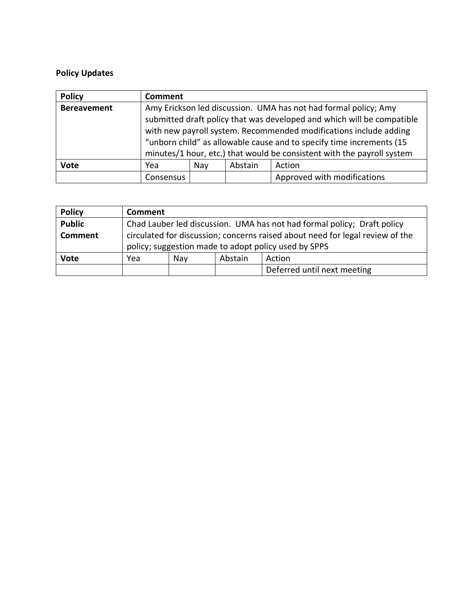# **Policy Updates**

| <b>Policy</b>      | <b>Comment</b>                                                                                                                                                                                                                                                                         |  |  |                             |
|--------------------|----------------------------------------------------------------------------------------------------------------------------------------------------------------------------------------------------------------------------------------------------------------------------------------|--|--|-----------------------------|
| <b>Bereavement</b> | Amy Erickson led discussion. UMA has not had formal policy; Amy<br>submitted draft policy that was developed and which will be compatible<br>with new payroll system. Recommended modifications include adding<br>"unborn child" as allowable cause and to specify time increments (15 |  |  |                             |
|                    | minutes/1 hour, etc.) that would be consistent with the payroll system                                                                                                                                                                                                                 |  |  |                             |
| <b>Vote</b>        | Abstain<br>Nay<br>Action<br>Yea                                                                                                                                                                                                                                                        |  |  |                             |
|                    | Consensus                                                                                                                                                                                                                                                                              |  |  | Approved with modifications |

| <b>Policy</b>  | Comment                                                                       |  |  |                             |
|----------------|-------------------------------------------------------------------------------|--|--|-----------------------------|
| <b>Public</b>  | Chad Lauber led discussion. UMA has not had formal policy; Draft policy       |  |  |                             |
| <b>Comment</b> | circulated for discussion; concerns raised about need for legal review of the |  |  |                             |
|                | policy; suggestion made to adopt policy used by SPPS                          |  |  |                             |
| <b>Vote</b>    | Abstain<br>Yea<br>Action<br>Nav                                               |  |  |                             |
|                |                                                                               |  |  | Deferred until next meeting |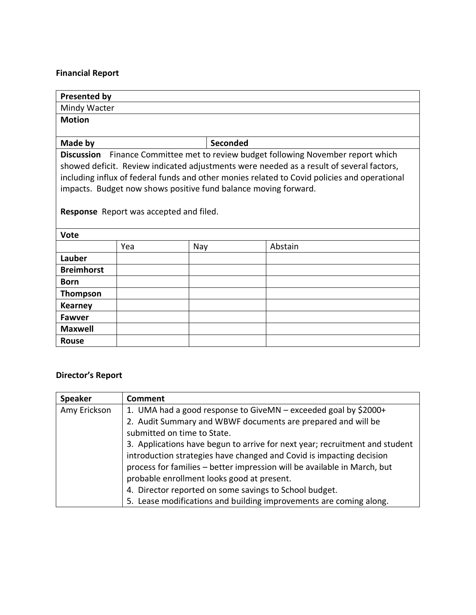### **Financial Report**

| <b>Presented by</b> |                                                                 |          |                                                                                              |
|---------------------|-----------------------------------------------------------------|----------|----------------------------------------------------------------------------------------------|
| Mindy Wacter        |                                                                 |          |                                                                                              |
| <b>Motion</b>       |                                                                 |          |                                                                                              |
|                     |                                                                 |          |                                                                                              |
| Made by             |                                                                 | Seconded |                                                                                              |
|                     |                                                                 |          | Discussion Finance Committee met to review budget following November report which            |
|                     |                                                                 |          | showed deficit. Review indicated adjustments were needed as a result of several factors,     |
|                     |                                                                 |          | including influx of federal funds and other monies related to Covid policies and operational |
|                     | impacts. Budget now shows positive fund balance moving forward. |          |                                                                                              |
|                     |                                                                 |          |                                                                                              |
|                     | Response Report was accepted and filed.                         |          |                                                                                              |
|                     |                                                                 |          |                                                                                              |
| <b>Vote</b>         |                                                                 |          |                                                                                              |
|                     | Yea                                                             | Nay      | Abstain                                                                                      |
| Lauber              |                                                                 |          |                                                                                              |
| <b>Breimhorst</b>   |                                                                 |          |                                                                                              |
| <b>Born</b>         |                                                                 |          |                                                                                              |
| <b>Thompson</b>     |                                                                 |          |                                                                                              |
| <b>Kearney</b>      |                                                                 |          |                                                                                              |
| <b>Fawver</b>       |                                                                 |          |                                                                                              |
| <b>Maxwell</b>      |                                                                 |          |                                                                                              |
| <b>Rouse</b>        |                                                                 |          |                                                                                              |

### **Director's Report**

| <b>Speaker</b> | <b>Comment</b>                                                              |
|----------------|-----------------------------------------------------------------------------|
| Amy Erickson   | 1. UMA had a good response to GiveMN – exceeded goal by \$2000+             |
|                | 2. Audit Summary and WBWF documents are prepared and will be                |
|                | submitted on time to State.                                                 |
|                | 3. Applications have begun to arrive for next year; recruitment and student |
|                | introduction strategies have changed and Covid is impacting decision        |
|                | process for families - better impression will be available in March, but    |
|                | probable enrollment looks good at present.                                  |
|                | 4. Director reported on some savings to School budget.                      |
|                | 5. Lease modifications and building improvements are coming along.          |